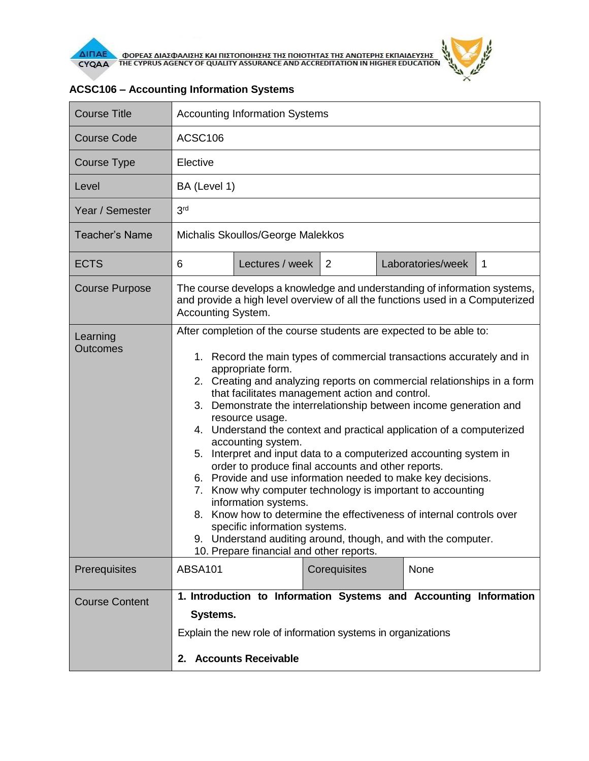

 $\theta$ 

| <b>Course Title</b>         | <b>Accounting Information Systems</b>                                                                                                                                                                                                                                                                                                                                                                                                                                                                                                                                                                                                                                                                                                                                                                                                                                                                                                                                                                       |                 |              |  |                   |   |
|-----------------------------|-------------------------------------------------------------------------------------------------------------------------------------------------------------------------------------------------------------------------------------------------------------------------------------------------------------------------------------------------------------------------------------------------------------------------------------------------------------------------------------------------------------------------------------------------------------------------------------------------------------------------------------------------------------------------------------------------------------------------------------------------------------------------------------------------------------------------------------------------------------------------------------------------------------------------------------------------------------------------------------------------------------|-----------------|--------------|--|-------------------|---|
| <b>Course Code</b>          | ACSC106                                                                                                                                                                                                                                                                                                                                                                                                                                                                                                                                                                                                                                                                                                                                                                                                                                                                                                                                                                                                     |                 |              |  |                   |   |
| Course Type                 | Elective                                                                                                                                                                                                                                                                                                                                                                                                                                                                                                                                                                                                                                                                                                                                                                                                                                                                                                                                                                                                    |                 |              |  |                   |   |
| Level                       | BA (Level 1)                                                                                                                                                                                                                                                                                                                                                                                                                                                                                                                                                                                                                                                                                                                                                                                                                                                                                                                                                                                                |                 |              |  |                   |   |
| Year / Semester             | 3 <sup>rd</sup>                                                                                                                                                                                                                                                                                                                                                                                                                                                                                                                                                                                                                                                                                                                                                                                                                                                                                                                                                                                             |                 |              |  |                   |   |
| Teacher's Name              | Michalis Skoullos/George Malekkos                                                                                                                                                                                                                                                                                                                                                                                                                                                                                                                                                                                                                                                                                                                                                                                                                                                                                                                                                                           |                 |              |  |                   |   |
| <b>ECTS</b>                 | 6                                                                                                                                                                                                                                                                                                                                                                                                                                                                                                                                                                                                                                                                                                                                                                                                                                                                                                                                                                                                           | Lectures / week | 2            |  | Laboratories/week | 1 |
| <b>Course Purpose</b>       | The course develops a knowledge and understanding of information systems,<br>and provide a high level overview of all the functions used in a Computerized<br>Accounting System.                                                                                                                                                                                                                                                                                                                                                                                                                                                                                                                                                                                                                                                                                                                                                                                                                            |                 |              |  |                   |   |
| Learning<br><b>Outcomes</b> | After completion of the course students are expected to be able to:<br>1. Record the main types of commercial transactions accurately and in<br>appropriate form.<br>2. Creating and analyzing reports on commercial relationships in a form<br>that facilitates management action and control.<br>Demonstrate the interrelationship between income generation and<br>3.<br>resource usage.<br>4. Understand the context and practical application of a computerized<br>accounting system.<br>Interpret and input data to a computerized accounting system in<br>5.<br>order to produce final accounts and other reports.<br>6. Provide and use information needed to make key decisions.<br>Know why computer technology is important to accounting<br>7.<br>information systems.<br>Know how to determine the effectiveness of internal controls over<br>8.<br>specific information systems.<br>9. Understand auditing around, though, and with the computer.<br>10. Prepare financial and other reports. |                 |              |  |                   |   |
| Prerequisites               | ABSA101                                                                                                                                                                                                                                                                                                                                                                                                                                                                                                                                                                                                                                                                                                                                                                                                                                                                                                                                                                                                     |                 | Corequisites |  | None              |   |
| <b>Course Content</b>       | 1. Introduction to Information Systems and Accounting Information<br>Systems.<br>Explain the new role of information systems in organizations<br>2. Accounts Receivable                                                                                                                                                                                                                                                                                                                                                                                                                                                                                                                                                                                                                                                                                                                                                                                                                                     |                 |              |  |                   |   |

## **ACSC106 – Accounting Information Systems**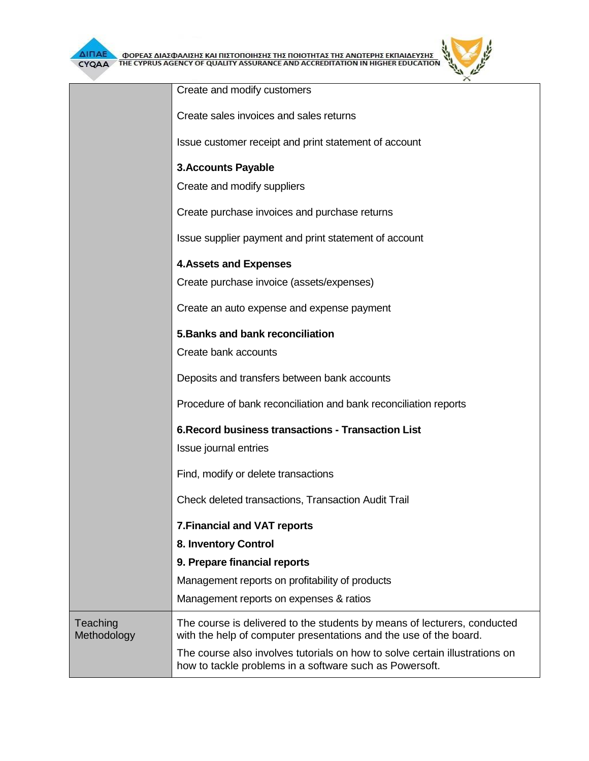

| ΔΙΠΑΕ<br>ΦΟΡΕΑΣ ΔΙΑΣΦΑΛΙΣΗΣ ΚΑΙ ΠΙΣΤΟΠΟΙΗΣΗΣ ΤΗΣ ΠΟΙΟΤΗΤΑΣ ΤΗΣ ΑΝΩΤΕΡΗΣ ΕΚΠΑΙΔΕΥΣΗΣ<br><b>JS AGENCY OF QUALITY ASSURANCE AND ACCREDITATION</b><br>CYQAA |                                                                                                                                               |  |  |  |  |
|---------------------------------------------------------------------------------------------------------------------------------------------------------|-----------------------------------------------------------------------------------------------------------------------------------------------|--|--|--|--|
|                                                                                                                                                         | Create and modify customers                                                                                                                   |  |  |  |  |
|                                                                                                                                                         | Create sales invoices and sales returns                                                                                                       |  |  |  |  |
|                                                                                                                                                         | Issue customer receipt and print statement of account                                                                                         |  |  |  |  |
|                                                                                                                                                         | <b>3.Accounts Payable</b>                                                                                                                     |  |  |  |  |
|                                                                                                                                                         | Create and modify suppliers<br>Create purchase invoices and purchase returns                                                                  |  |  |  |  |
|                                                                                                                                                         |                                                                                                                                               |  |  |  |  |
|                                                                                                                                                         | Issue supplier payment and print statement of account                                                                                         |  |  |  |  |
|                                                                                                                                                         | <b>4. Assets and Expenses</b>                                                                                                                 |  |  |  |  |
|                                                                                                                                                         | Create purchase invoice (assets/expenses)                                                                                                     |  |  |  |  |
|                                                                                                                                                         | Create an auto expense and expense payment                                                                                                    |  |  |  |  |
|                                                                                                                                                         | 5. Banks and bank reconciliation                                                                                                              |  |  |  |  |
|                                                                                                                                                         | Create bank accounts                                                                                                                          |  |  |  |  |
|                                                                                                                                                         | Deposits and transfers between bank accounts                                                                                                  |  |  |  |  |
|                                                                                                                                                         | Procedure of bank reconciliation and bank reconciliation reports                                                                              |  |  |  |  |
|                                                                                                                                                         | <b>6. Record business transactions - Transaction List</b>                                                                                     |  |  |  |  |
|                                                                                                                                                         | Issue journal entries                                                                                                                         |  |  |  |  |
|                                                                                                                                                         | Find, modify or delete transactions                                                                                                           |  |  |  |  |
|                                                                                                                                                         | <b>Check deleted transactions, Transaction Audit Trail</b>                                                                                    |  |  |  |  |
|                                                                                                                                                         | <b>7. Financial and VAT reports</b>                                                                                                           |  |  |  |  |
|                                                                                                                                                         | 8. Inventory Control                                                                                                                          |  |  |  |  |
|                                                                                                                                                         | 9. Prepare financial reports                                                                                                                  |  |  |  |  |
|                                                                                                                                                         | Management reports on profitability of products                                                                                               |  |  |  |  |
|                                                                                                                                                         | Management reports on expenses & ratios                                                                                                       |  |  |  |  |
| Teaching<br>Methodology                                                                                                                                 | The course is delivered to the students by means of lecturers, conducted<br>with the help of computer presentations and the use of the board. |  |  |  |  |
|                                                                                                                                                         | The course also involves tutorials on how to solve certain illustrations on<br>how to tackle problems in a software such as Powersoft.        |  |  |  |  |